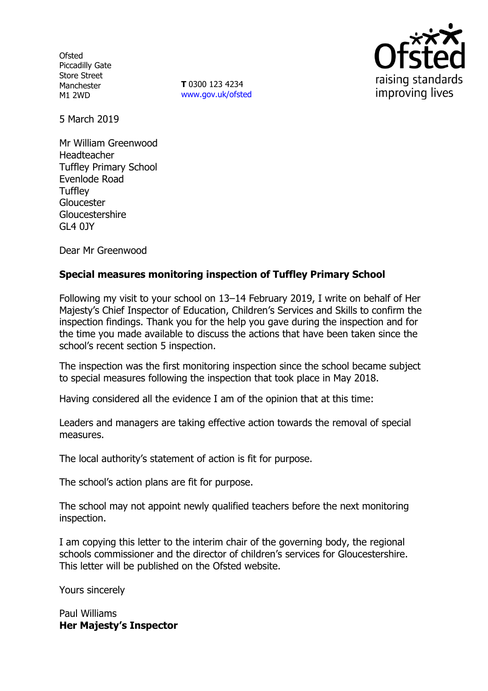**Ofsted** Piccadilly Gate Store Street Manchester M1 2WD

**T** 0300 123 4234 www.gov.uk/ofsted



5 March 2019

Mr William Greenwood Headteacher Tuffley Primary School Evenlode Road **Tuffley** Gloucester Gloucestershire GL4 0JY

Dear Mr Greenwood

# **Special measures monitoring inspection of Tuffley Primary School**

Following my visit to your school on 13–14 February 2019, I write on behalf of Her Majesty's Chief Inspector of Education, Children's Services and Skills to confirm the inspection findings. Thank you for the help you gave during the inspection and for the time you made available to discuss the actions that have been taken since the school's recent section 5 inspection.

The inspection was the first monitoring inspection since the school became subject to special measures following the inspection that took place in May 2018.

Having considered all the evidence I am of the opinion that at this time:

Leaders and managers are taking effective action towards the removal of special measures.

The local authority's statement of action is fit for purpose.

The school's action plans are fit for purpose.

The school may not appoint newly qualified teachers before the next monitoring inspection.

I am copying this letter to the interim chair of the governing body, the regional schools commissioner and the director of children's services for Gloucestershire. This letter will be published on the Ofsted website.

Yours sincerely

Paul Williams **Her Majesty's Inspector**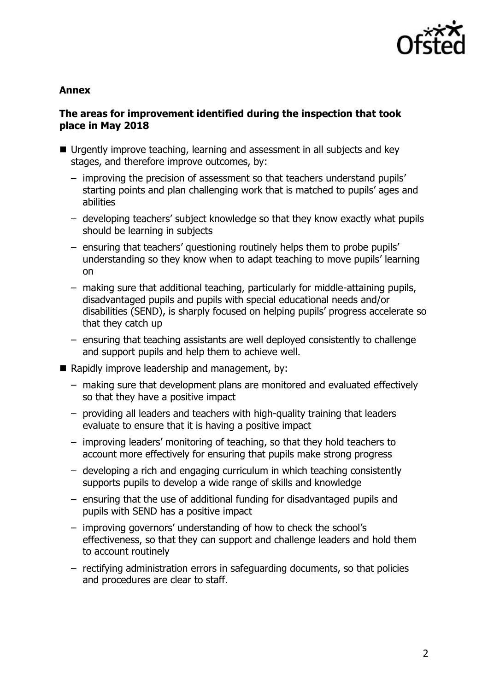

### **Annex**

## **The areas for improvement identified during the inspection that took place in May 2018**

- Urgently improve teaching, learning and assessment in all subjects and key stages, and therefore improve outcomes, by:
	- improving the precision of assessment so that teachers understand pupils' starting points and plan challenging work that is matched to pupils' ages and abilities
	- developing teachers' subject knowledge so that they know exactly what pupils should be learning in subjects
	- ensuring that teachers' questioning routinely helps them to probe pupils' understanding so they know when to adapt teaching to move pupils' learning on
	- making sure that additional teaching, particularly for middle-attaining pupils, disadvantaged pupils and pupils with special educational needs and/or disabilities (SEND), is sharply focused on helping pupils' progress accelerate so that they catch up
	- ensuring that teaching assistants are well deployed consistently to challenge and support pupils and help them to achieve well.
- Rapidly improve leadership and management, by:
	- making sure that development plans are monitored and evaluated effectively so that they have a positive impact
	- providing all leaders and teachers with high-quality training that leaders evaluate to ensure that it is having a positive impact
	- improving leaders' monitoring of teaching, so that they hold teachers to account more effectively for ensuring that pupils make strong progress
	- developing a rich and engaging curriculum in which teaching consistently supports pupils to develop a wide range of skills and knowledge
	- ensuring that the use of additional funding for disadvantaged pupils and pupils with SEND has a positive impact
	- improving governors' understanding of how to check the school's effectiveness, so that they can support and challenge leaders and hold them to account routinely
	- rectifying administration errors in safeguarding documents, so that policies and procedures are clear to staff.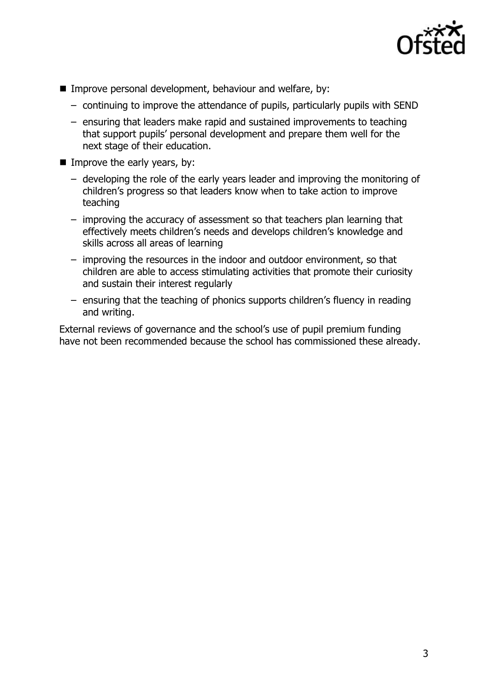

- Improve personal development, behaviour and welfare, by:
	- continuing to improve the attendance of pupils, particularly pupils with SEND
	- ensuring that leaders make rapid and sustained improvements to teaching that support pupils' personal development and prepare them well for the next stage of their education.
- Improve the early years, by:
	- developing the role of the early years leader and improving the monitoring of children's progress so that leaders know when to take action to improve teaching
	- improving the accuracy of assessment so that teachers plan learning that effectively meets children's needs and develops children's knowledge and skills across all areas of learning
	- improving the resources in the indoor and outdoor environment, so that children are able to access stimulating activities that promote their curiosity and sustain their interest regularly
	- ensuring that the teaching of phonics supports children's fluency in reading and writing.

External reviews of governance and the school's use of pupil premium funding have not been recommended because the school has commissioned these already.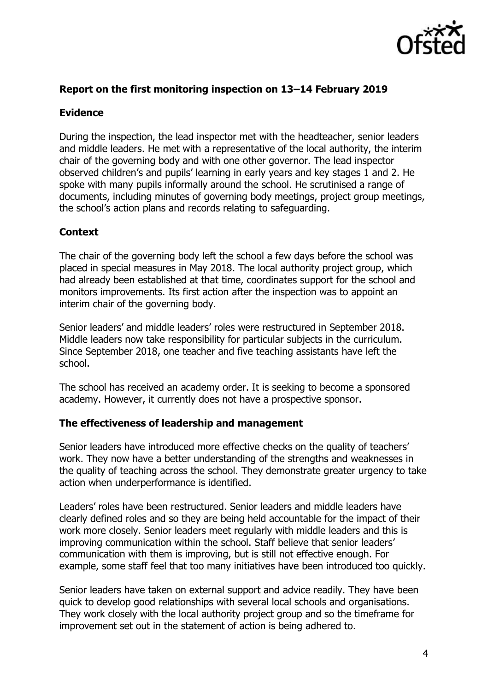

# **Report on the first monitoring inspection on 13–14 February 2019**

## **Evidence**

During the inspection, the lead inspector met with the headteacher, senior leaders and middle leaders. He met with a representative of the local authority, the interim chair of the governing body and with one other governor. The lead inspector observed children's and pupils' learning in early years and key stages 1 and 2. He spoke with many pupils informally around the school. He scrutinised a range of documents, including minutes of governing body meetings, project group meetings, the school's action plans and records relating to safeguarding.

### **Context**

The chair of the governing body left the school a few days before the school was placed in special measures in May 2018. The local authority project group, which had already been established at that time, coordinates support for the school and monitors improvements. Its first action after the inspection was to appoint an interim chair of the governing body.

Senior leaders' and middle leaders' roles were restructured in September 2018. Middle leaders now take responsibility for particular subjects in the curriculum. Since September 2018, one teacher and five teaching assistants have left the school.

The school has received an academy order. It is seeking to become a sponsored academy. However, it currently does not have a prospective sponsor.

#### **The effectiveness of leadership and management**

Senior leaders have introduced more effective checks on the quality of teachers' work. They now have a better understanding of the strengths and weaknesses in the quality of teaching across the school. They demonstrate greater urgency to take action when underperformance is identified.

Leaders' roles have been restructured. Senior leaders and middle leaders have clearly defined roles and so they are being held accountable for the impact of their work more closely. Senior leaders meet regularly with middle leaders and this is improving communication within the school. Staff believe that senior leaders' communication with them is improving, but is still not effective enough. For example, some staff feel that too many initiatives have been introduced too quickly.

Senior leaders have taken on external support and advice readily. They have been quick to develop good relationships with several local schools and organisations. They work closely with the local authority project group and so the timeframe for improvement set out in the statement of action is being adhered to.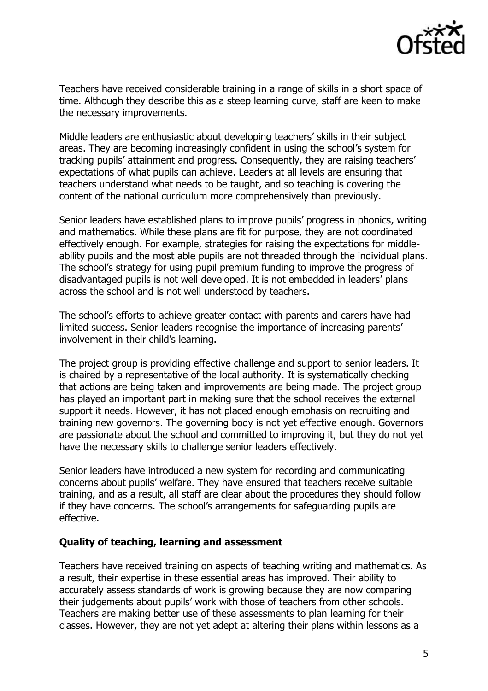

Teachers have received considerable training in a range of skills in a short space of time. Although they describe this as a steep learning curve, staff are keen to make the necessary improvements.

Middle leaders are enthusiastic about developing teachers' skills in their subject areas. They are becoming increasingly confident in using the school's system for tracking pupils' attainment and progress. Consequently, they are raising teachers' expectations of what pupils can achieve. Leaders at all levels are ensuring that teachers understand what needs to be taught, and so teaching is covering the content of the national curriculum more comprehensively than previously.

Senior leaders have established plans to improve pupils' progress in phonics, writing and mathematics. While these plans are fit for purpose, they are not coordinated effectively enough. For example, strategies for raising the expectations for middleability pupils and the most able pupils are not threaded through the individual plans. The school's strategy for using pupil premium funding to improve the progress of disadvantaged pupils is not well developed. It is not embedded in leaders' plans across the school and is not well understood by teachers.

The school's efforts to achieve greater contact with parents and carers have had limited success. Senior leaders recognise the importance of increasing parents' involvement in their child's learning.

The project group is providing effective challenge and support to senior leaders. It is chaired by a representative of the local authority. It is systematically checking that actions are being taken and improvements are being made. The project group has played an important part in making sure that the school receives the external support it needs. However, it has not placed enough emphasis on recruiting and training new governors. The governing body is not yet effective enough. Governors are passionate about the school and committed to improving it, but they do not yet have the necessary skills to challenge senior leaders effectively.

Senior leaders have introduced a new system for recording and communicating concerns about pupils' welfare. They have ensured that teachers receive suitable training, and as a result, all staff are clear about the procedures they should follow if they have concerns. The school's arrangements for safeguarding pupils are effective.

## **Quality of teaching, learning and assessment**

Teachers have received training on aspects of teaching writing and mathematics. As a result, their expertise in these essential areas has improved. Their ability to accurately assess standards of work is growing because they are now comparing their judgements about pupils' work with those of teachers from other schools. Teachers are making better use of these assessments to plan learning for their classes. However, they are not yet adept at altering their plans within lessons as a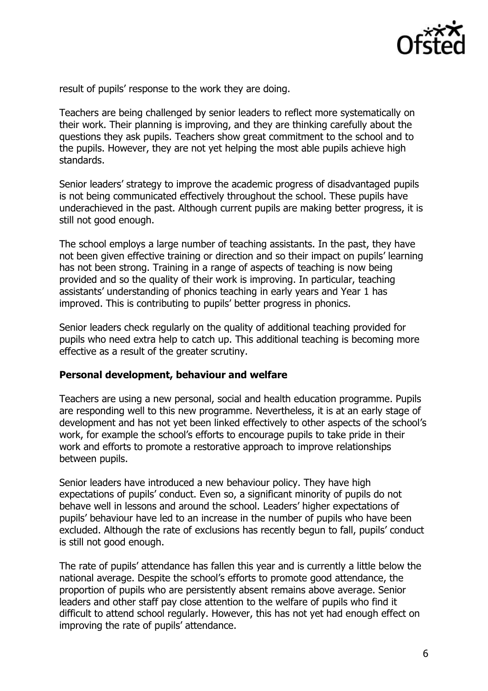

result of pupils' response to the work they are doing.

Teachers are being challenged by senior leaders to reflect more systematically on their work. Their planning is improving, and they are thinking carefully about the questions they ask pupils. Teachers show great commitment to the school and to the pupils. However, they are not yet helping the most able pupils achieve high standards.

Senior leaders' strategy to improve the academic progress of disadvantaged pupils is not being communicated effectively throughout the school. These pupils have underachieved in the past. Although current pupils are making better progress, it is still not good enough.

The school employs a large number of teaching assistants. In the past, they have not been given effective training or direction and so their impact on pupils' learning has not been strong. Training in a range of aspects of teaching is now being provided and so the quality of their work is improving. In particular, teaching assistants' understanding of phonics teaching in early years and Year 1 has improved. This is contributing to pupils' better progress in phonics.

Senior leaders check regularly on the quality of additional teaching provided for pupils who need extra help to catch up. This additional teaching is becoming more effective as a result of the greater scrutiny.

#### **Personal development, behaviour and welfare**

Teachers are using a new personal, social and health education programme. Pupils are responding well to this new programme. Nevertheless, it is at an early stage of development and has not yet been linked effectively to other aspects of the school's work, for example the school's efforts to encourage pupils to take pride in their work and efforts to promote a restorative approach to improve relationships between pupils.

Senior leaders have introduced a new behaviour policy. They have high expectations of pupils' conduct. Even so, a significant minority of pupils do not behave well in lessons and around the school. Leaders' higher expectations of pupils' behaviour have led to an increase in the number of pupils who have been excluded. Although the rate of exclusions has recently begun to fall, pupils' conduct is still not good enough.

The rate of pupils' attendance has fallen this year and is currently a little below the national average. Despite the school's efforts to promote good attendance, the proportion of pupils who are persistently absent remains above average. Senior leaders and other staff pay close attention to the welfare of pupils who find it difficult to attend school regularly. However, this has not yet had enough effect on improving the rate of pupils' attendance.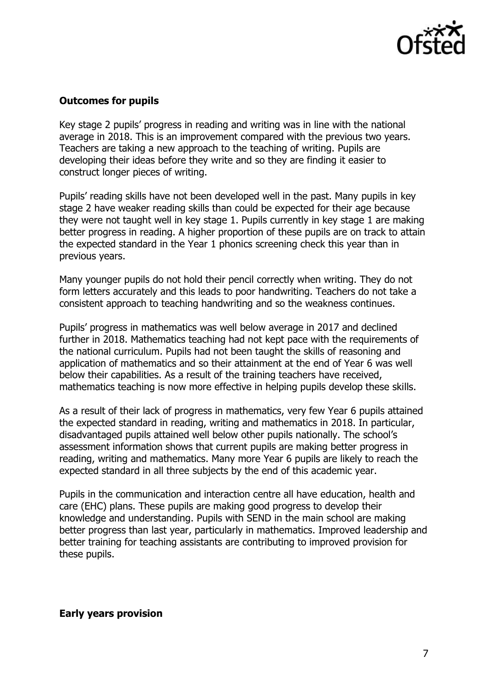

# **Outcomes for pupils**

Key stage 2 pupils' progress in reading and writing was in line with the national average in 2018. This is an improvement compared with the previous two years. Teachers are taking a new approach to the teaching of writing. Pupils are developing their ideas before they write and so they are finding it easier to construct longer pieces of writing.

Pupils' reading skills have not been developed well in the past. Many pupils in key stage 2 have weaker reading skills than could be expected for their age because they were not taught well in key stage 1. Pupils currently in key stage 1 are making better progress in reading. A higher proportion of these pupils are on track to attain the expected standard in the Year 1 phonics screening check this year than in previous years.

Many younger pupils do not hold their pencil correctly when writing. They do not form letters accurately and this leads to poor handwriting. Teachers do not take a consistent approach to teaching handwriting and so the weakness continues.

Pupils' progress in mathematics was well below average in 2017 and declined further in 2018. Mathematics teaching had not kept pace with the requirements of the national curriculum. Pupils had not been taught the skills of reasoning and application of mathematics and so their attainment at the end of Year 6 was well below their capabilities. As a result of the training teachers have received, mathematics teaching is now more effective in helping pupils develop these skills.

As a result of their lack of progress in mathematics, very few Year 6 pupils attained the expected standard in reading, writing and mathematics in 2018. In particular, disadvantaged pupils attained well below other pupils nationally. The school's assessment information shows that current pupils are making better progress in reading, writing and mathematics. Many more Year 6 pupils are likely to reach the expected standard in all three subjects by the end of this academic year.

Pupils in the communication and interaction centre all have education, health and care (EHC) plans. These pupils are making good progress to develop their knowledge and understanding. Pupils with SEND in the main school are making better progress than last year, particularly in mathematics. Improved leadership and better training for teaching assistants are contributing to improved provision for these pupils.

**Early years provision**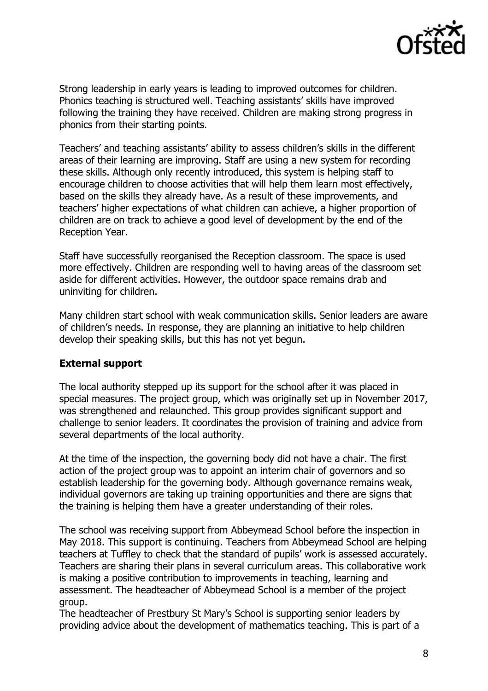

Strong leadership in early years is leading to improved outcomes for children. Phonics teaching is structured well. Teaching assistants' skills have improved following the training they have received. Children are making strong progress in phonics from their starting points.

Teachers' and teaching assistants' ability to assess children's skills in the different areas of their learning are improving. Staff are using a new system for recording these skills. Although only recently introduced, this system is helping staff to encourage children to choose activities that will help them learn most effectively, based on the skills they already have. As a result of these improvements, and teachers' higher expectations of what children can achieve, a higher proportion of children are on track to achieve a good level of development by the end of the Reception Year.

Staff have successfully reorganised the Reception classroom. The space is used more effectively. Children are responding well to having areas of the classroom set aside for different activities. However, the outdoor space remains drab and uninviting for children.

Many children start school with weak communication skills. Senior leaders are aware of children's needs. In response, they are planning an initiative to help children develop their speaking skills, but this has not yet begun.

## **External support**

The local authority stepped up its support for the school after it was placed in special measures. The project group, which was originally set up in November 2017, was strengthened and relaunched. This group provides significant support and challenge to senior leaders. It coordinates the provision of training and advice from several departments of the local authority.

At the time of the inspection, the governing body did not have a chair. The first action of the project group was to appoint an interim chair of governors and so establish leadership for the governing body. Although governance remains weak, individual governors are taking up training opportunities and there are signs that the training is helping them have a greater understanding of their roles.

The school was receiving support from Abbeymead School before the inspection in May 2018. This support is continuing. Teachers from Abbeymead School are helping teachers at Tuffley to check that the standard of pupils' work is assessed accurately. Teachers are sharing their plans in several curriculum areas. This collaborative work is making a positive contribution to improvements in teaching, learning and assessment. The headteacher of Abbeymead School is a member of the project group.

The headteacher of Prestbury St Mary's School is supporting senior leaders by providing advice about the development of mathematics teaching. This is part of a